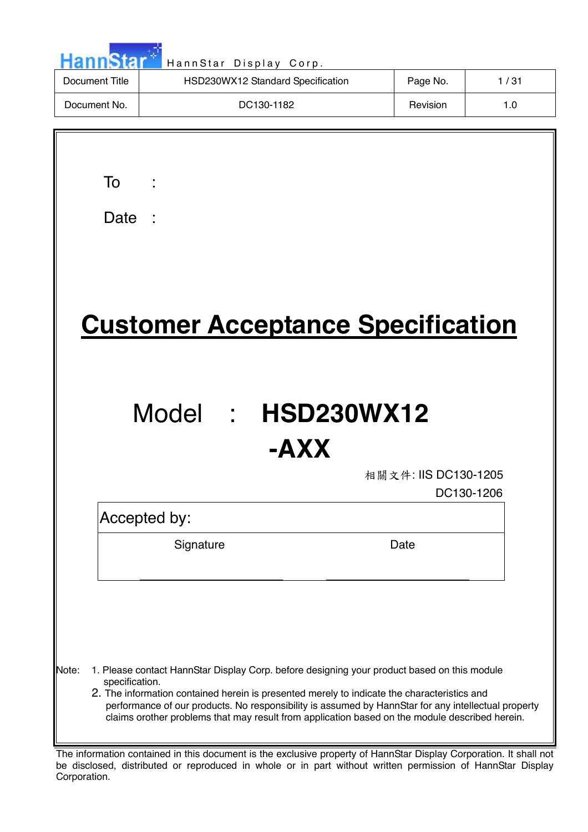|                         | HannStar Display Corp.                                                                                                                                                                                                                                                                            |                      |      |
|-------------------------|---------------------------------------------------------------------------------------------------------------------------------------------------------------------------------------------------------------------------------------------------------------------------------------------------|----------------------|------|
| <b>Document Title</b>   | HSD230WX12 Standard Specification                                                                                                                                                                                                                                                                 | Page No.             | 1/31 |
| Document No.            | DC130-1182                                                                                                                                                                                                                                                                                        | Revision             | 1.0  |
|                         |                                                                                                                                                                                                                                                                                                   |                      |      |
| To                      |                                                                                                                                                                                                                                                                                                   |                      |      |
| Date                    |                                                                                                                                                                                                                                                                                                   |                      |      |
|                         |                                                                                                                                                                                                                                                                                                   |                      |      |
|                         |                                                                                                                                                                                                                                                                                                   |                      |      |
|                         |                                                                                                                                                                                                                                                                                                   |                      |      |
|                         | <b>Customer Acceptance Specification</b>                                                                                                                                                                                                                                                          |                      |      |
|                         |                                                                                                                                                                                                                                                                                                   |                      |      |
|                         |                                                                                                                                                                                                                                                                                                   |                      |      |
|                         |                                                                                                                                                                                                                                                                                                   |                      |      |
|                         |                                                                                                                                                                                                                                                                                                   |                      |      |
|                         | Model :                                                                                                                                                                                                                                                                                           | <b>HSD230WX12</b>    |      |
|                         | -AXX                                                                                                                                                                                                                                                                                              |                      |      |
|                         |                                                                                                                                                                                                                                                                                                   | 相關文件: IIS DC130-1205 |      |
|                         |                                                                                                                                                                                                                                                                                                   | DC130-1206           |      |
|                         | Accepted by:                                                                                                                                                                                                                                                                                      |                      |      |
|                         | Signature                                                                                                                                                                                                                                                                                         | Date                 |      |
|                         |                                                                                                                                                                                                                                                                                                   |                      |      |
|                         |                                                                                                                                                                                                                                                                                                   |                      |      |
|                         |                                                                                                                                                                                                                                                                                                   |                      |      |
|                         |                                                                                                                                                                                                                                                                                                   |                      |      |
| Note:<br>specification. | 1. Please contact HannStar Display Corp. before designing your product based on this module<br>2. The information contained herein is presented merely to indicate the characteristics and<br>performance of our products. No responsibility is assumed by HannStar for any intellectual property |                      |      |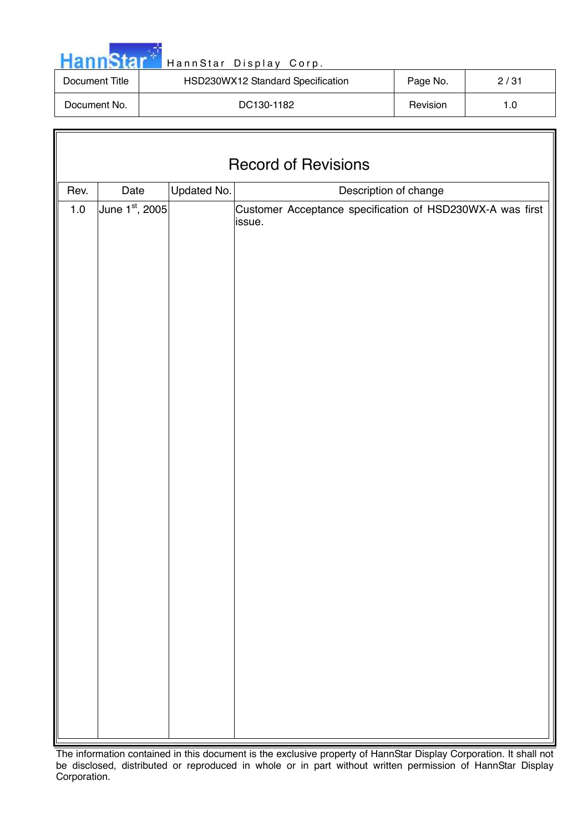| <b>Hannstal</b> |  |  |  |
|-----------------|--|--|--|

Г

# HannStar Display Corp.

| Document Title | HSD230WX12 Standard Specification | Page No. | 2/31 |
|----------------|-----------------------------------|----------|------|
| Document No.   | DC130-1182                        | Revision |      |

| <b>Record of Revisions</b> |                        |             |                                                                                              |  |  |  |
|----------------------------|------------------------|-------------|----------------------------------------------------------------------------------------------|--|--|--|
| Rev.                       |                        |             |                                                                                              |  |  |  |
| $1.0\,$                    | Date<br>June 1st, 2005 | Updated No. | Description of change<br>Customer Acceptance specification of HSD230WX-A was first<br>issue. |  |  |  |
|                            |                        |             |                                                                                              |  |  |  |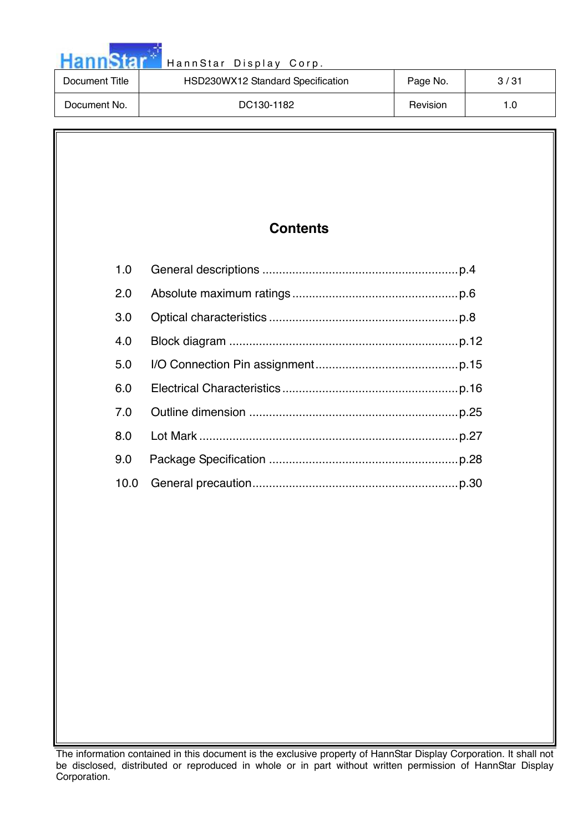| Hannstar       | HannStar Display Corp.            |          |      |  |  |
|----------------|-----------------------------------|----------|------|--|--|
| Document Title | HSD230WX12 Standard Specification | Page No. | 3/31 |  |  |
| Document No.   | DC130-1182                        | Revision | 1.0  |  |  |

a na matsa

# **Contents**

| 1.0 |      |  |
|-----|------|--|
| 2.0 |      |  |
| 3.0 |      |  |
| 4.0 |      |  |
| 5.0 |      |  |
| 6.0 |      |  |
| 7 O |      |  |
| 80  |      |  |
| 9.0 |      |  |
|     | 10.0 |  |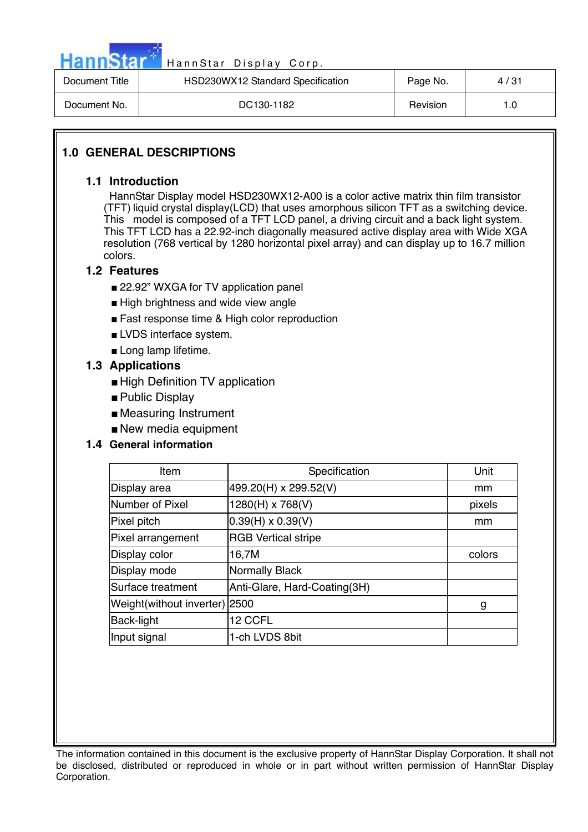

| Document Title | HSD230WX12 Standard Specification | Page No. | 4/31 |
|----------------|-----------------------------------|----------|------|
| Document No.   | DC130-1182                        | Revision |      |

# **1.0 GENERAL DESCRIPTIONS**

## **1.1 Introduction**

 HannStar Display model HSD230WX12-A00 is a color active matrix thin film transistor (TFT) liquid crystal display(LCD) that uses amorphous silicon TFT as a switching device. This model is composed of a TFT LCD panel, a driving circuit and a back light system. This TFT LCD has a 22.92-inch diagonally measured active display area with Wide XGA resolution (768 vertical by 1280 horizontal pixel array) and can display up to 16.7 million colors.

## **1.2 Features**

- 22.92" WXGA for TV application panel
- High brightness and wide view angle
- Fast response time & High color reproduction
- LVDS interface system.
- Long lamp lifetime.

# **1.3 Applications**

- High Definition TV application
- Public Display
- Measuring Instrument
- New media equipment

# **1.4 General information**

| Item                          | Specification                | Unit   |
|-------------------------------|------------------------------|--------|
| Display area                  | 499.20(H) x 299.52(V)        | mm     |
| Number of Pixel               | 1280(H) x 768(V)             | pixels |
| Pixel pitch                   | $0.39(H) \times 0.39(V)$     | mm     |
| Pixel arrangement             | <b>RGB Vertical stripe</b>   |        |
| Display color                 | 16,7M                        | colors |
| Display mode                  | Normally Black               |        |
| Surface treatment             | Anti-Glare, Hard-Coating(3H) |        |
| Weight(without inverter) 2500 |                              | g      |
| Back-light                    | 12 CCFL                      |        |
| Input signal                  | 1-ch LVDS 8bit               |        |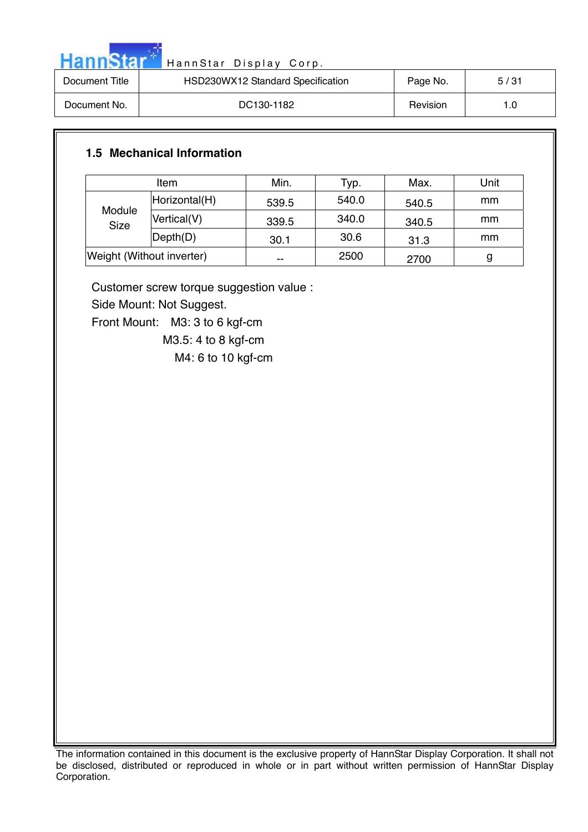

| Document Title | HSD230WX12 Standard Specification | Page No. | 5/31 |
|----------------|-----------------------------------|----------|------|
| Document No.   | DC130-1182                        | Revision | 1.0  |

# **1.5 Mechanical Information**

| ltem                      |               | Min.  | Typ.  | Max.  | Unit |
|---------------------------|---------------|-------|-------|-------|------|
| Module<br><b>Size</b>     | Horizontal(H) | 539.5 | 540.0 | 540.5 | mm   |
|                           | Vertical(V)   | 339.5 | 340.0 | 340.5 | mm   |
|                           | Depth(D)      | 30.1  | 30.6  | 31.3  | mm   |
| Weight (Without inverter) |               | --    | 2500  | 2700  |      |

Customer screw torque suggestion value :

Side Mount: Not Suggest.

Front Mount: M3: 3 to 6 kgf-cm

M3.5: 4 to 8 kgf-cm

M4: 6 to 10 kgf-cm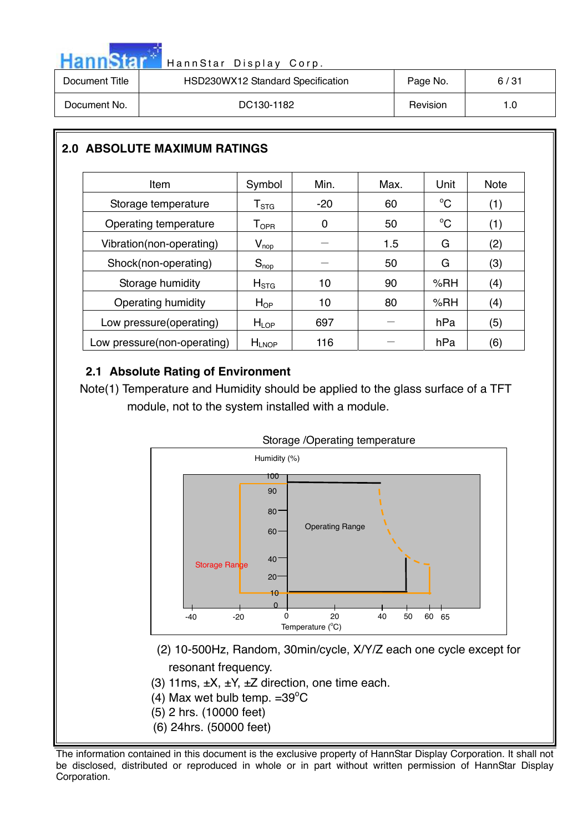|  | <b>HannStar</b> |
|--|-----------------|
|  |                 |
|  |                 |

| Document Title | HSD230WX12 Standard Specification | Page No. | 6/31 |
|----------------|-----------------------------------|----------|------|
| Document No.   | DC130-1182                        | Revision | 1.0  |

# **2.0 ABSOLUTE MAXIMUM RATINGS**

| Item                        | Symbol                       | Min.  | Max. | Unit         | <b>Note</b> |
|-----------------------------|------------------------------|-------|------|--------------|-------------|
| Storage temperature         | ${\sf T}_{\text{STG}}$       | $-20$ | 60   | $^{\circ}C$  | (1)         |
| Operating temperature       | ${\mathsf T}_{\textsf{OPR}}$ | 0     | 50   | $^{\circ}$ C | (1)         |
| Vibration(non-operating)    | $V_{\text{nop}}$             |       | 1.5  | G            | (2)         |
| Shock(non-operating)        | $S_{\text{nop}}$             |       | 50   | G            | (3)         |
| Storage humidity            | H <sub>STG</sub>             | 10    | 90   | % $RH$       | (4)         |
| Operating humidity          | $H_{OP}$                     | 10    | 80   | %RH          | (4)         |
| Low pressure(operating)     | H <sub>LOP</sub>             | 697   |      | hPa          | (5)         |
| Low pressure(non-operating) | $H_{LNOP}$                   | 116   |      | hPa          | (6)         |

# **2.1 Absolute Rating of Environment**

Note(1) Temperature and Humidity should be applied to the glass surface of a TFT module, not to the system installed with a module.



- (2) 10-500Hz, Random, 30min/cycle, X/Y/Z each one cycle except for resonant frequency.
- (3) 11ms,  $\pm X$ ,  $\pm Y$ ,  $\pm Z$  direction, one time each.
- (4) Max wet bulb temp.  $=39^{\circ}$ C
- (5) 2 hrs. (10000 feet)
- (6) 24hrs. (50000 feet)

The information contained in this document is the exclusive property of HannStar Display Corporation. It shall not be disclosed, distributed or reproduced in whole or in part without written permission of HannStar Display Corporation.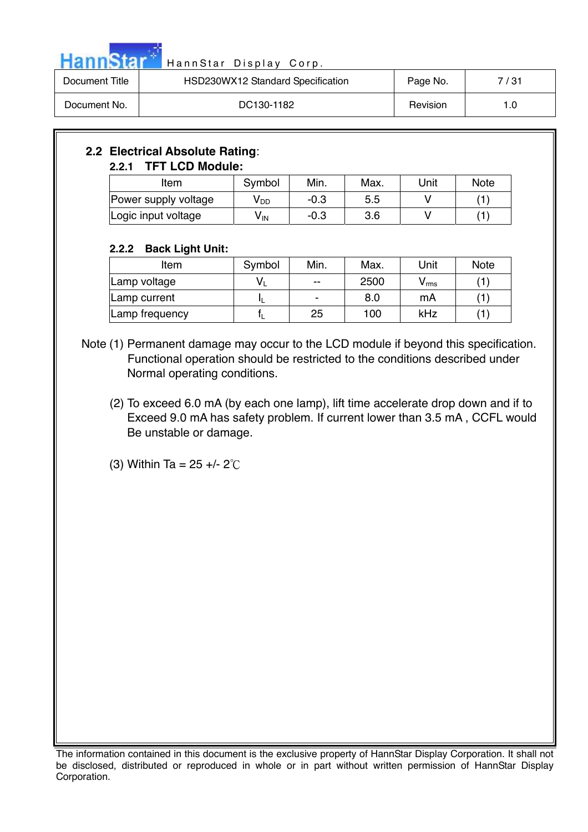

| Document Title | HSD230WX12 Standard Specification | Page No. | 7/31 |
|----------------|-----------------------------------|----------|------|
| Document No.   | DC130-1182                        | Revision |      |

# **2.2 Electrical Absolute Rating**: **2.2.1 TFT LCD Module:**

| Item                 | Symbol | Min.   | Max. | Unit | <b>Note</b> |
|----------------------|--------|--------|------|------|-------------|
| Power supply voltage | V DD   | $-0.3$ | 5.5  |      |             |
| Logic input voltage  | V IN   | $-0.3$ | 3.6  |      |             |

# **2.2.2 Back Light Unit:**

| Item           | Symbol | Min.  | Max. | Unit  | <b>Note</b> |
|----------------|--------|-------|------|-------|-------------|
| Lamp voltage   |        | $- -$ | 2500 | / rms |             |
| Lamp current   |        | -     | 8.0  | mA    |             |
| Lamp frequency |        | 25    | 100  | kHz   |             |

Note (1) Permanent damage may occur to the LCD module if beyond this specification. Functional operation should be restricted to the conditions described under Normal operating conditions.

- (2) To exceed 6.0 mA (by each one lamp), lift time accelerate drop down and if to Exceed 9.0 mA has safety problem. If current lower than 3.5 mA , CCFL would Be unstable or damage.
- (3) Within Ta =  $25 + 2^{\circ}$ C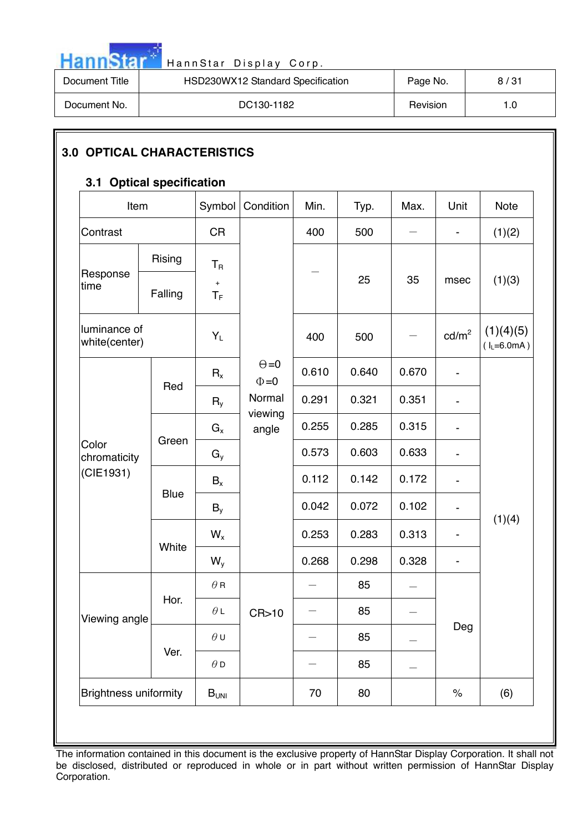

| Document Title | HSD230WX12 Standard Specification | Page No. | 8/31 |
|----------------|-----------------------------------|----------|------|
| Document No.   | DC130-1182                        | Revision |      |

# **3.0 OPTICAL CHARACTERISTICS**

# **3.1 Optical specification**

| Item                          |             | Symbol                                 | Condition                  | Min.  | Typ.  | Max.  | Unit                         | Note                       |
|-------------------------------|-------------|----------------------------------------|----------------------------|-------|-------|-------|------------------------------|----------------------------|
| Contrast                      |             | <b>CR</b>                              |                            | 400   | 500   |       | $\qquad \qquad \blacksquare$ | (1)(2)                     |
| Response<br>time              | Rising      | $\mathsf{T}_{\mathsf{R}}$<br>$\ddot{}$ |                            |       | 25    | 35    | msec                         | (1)(3)                     |
|                               | Falling     | $T_F$                                  |                            |       |       |       |                              |                            |
| luminance of<br>white(center) |             | $Y_L$                                  |                            | 400   | 500   |       | cd/m <sup>2</sup>            | (1)(4)(5)<br>$(I_L=6.0mA)$ |
|                               | Red         | $R_{x}$                                | $\Theta = 0$<br>$\Phi = 0$ | 0.610 | 0.640 | 0.670 | $\overline{\phantom{a}}$     |                            |
| Color<br>chromaticity         |             | $R_{v}$                                | Normal<br>viewing          | 0.291 | 0.321 | 0.351 |                              |                            |
|                               | Green       | $G_x$                                  | angle                      | 0.255 | 0.285 | 0.315 | $\overline{\phantom{0}}$     |                            |
|                               |             | $G_{y}$                                |                            | 0.573 | 0.603 | 0.633 | $\overline{\phantom{a}}$     |                            |
| (CIE1931)                     | <b>Blue</b> | $B_x$                                  |                            | 0.112 | 0.142 | 0.172 | $\overline{\phantom{a}}$     |                            |
|                               |             | $B_{v}$                                |                            | 0.042 | 0.072 | 0.102 |                              | (1)(4)                     |
|                               | White       | $W_{x}$                                |                            | 0.253 | 0.283 | 0.313 | $\qquad \qquad \blacksquare$ |                            |
|                               |             | $W_{y}$                                |                            | 0.268 | 0.298 | 0.328 | $\qquad \qquad \blacksquare$ |                            |
|                               | Hor.        | $\theta$ R                             |                            |       | 85    |       |                              |                            |
| Viewing angle                 |             | $\theta$ L                             | CR>10                      |       | 85    |       |                              |                            |
|                               |             | $\theta$ U                             |                            |       | 85    |       | Deg                          |                            |
|                               | Ver.        | $\theta$ D                             |                            |       | 85    |       |                              |                            |
| <b>Brightness uniformity</b>  |             | B <sub>UNI</sub>                       |                            | 70    | 80    |       | $\%$                         | (6)                        |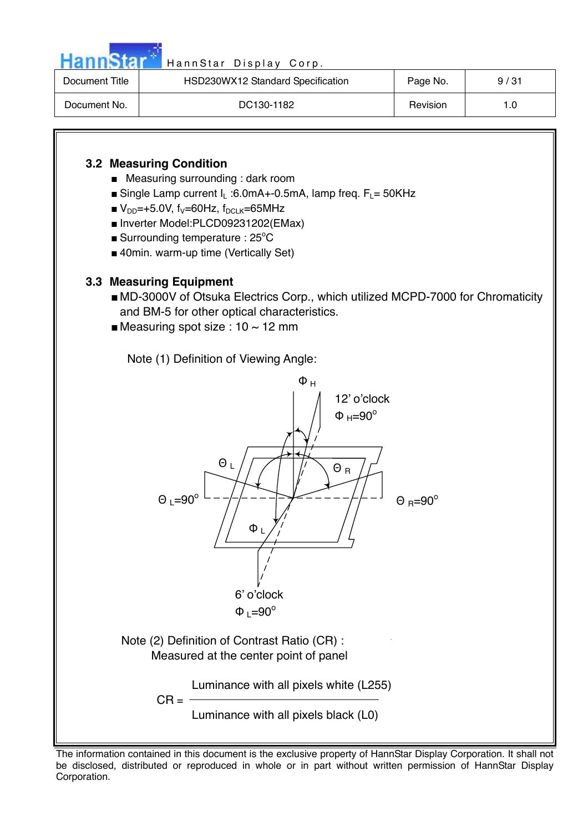

| Document Title | HSD230WX12 Standard Specification | Page No. | 9/31 |
|----------------|-----------------------------------|----------|------|
| Document No.   | DC130-1182                        | Revision |      |

# **3.2 Measuring Condition**

- Measuring surrounding : dark room
- $\blacksquare$  Single Lamp current I<sub>L</sub>:6.0mA+-0.5mA, lamp freq.  $F_L = 50$ KHz
- $V_{DD}$ =+5.0V, f<sub>V</sub>=60Hz, f<sub>DCLK</sub>=65MHz
- Inverter Model:PLCD09231202(EMax)
- **Burrounding temperature : 25°C**
- 40min. warm-up time (Vertically Set)

# **3.3 Measuring Equipment**

- MD-3000V of Otsuka Electrics Corp., which utilized MCPD-7000 for Chromaticity and BM-5 for other optical characteristics.
- Measuring spot size :  $10 \sim 12$  mm

Note (1) Definition of Viewing Angle:



The information contained in this document is the exclusive property of HannStar Display Corporation. It shall not be disclosed, distributed or reproduced in whole or in part without written permission of HannStar Display Corporation.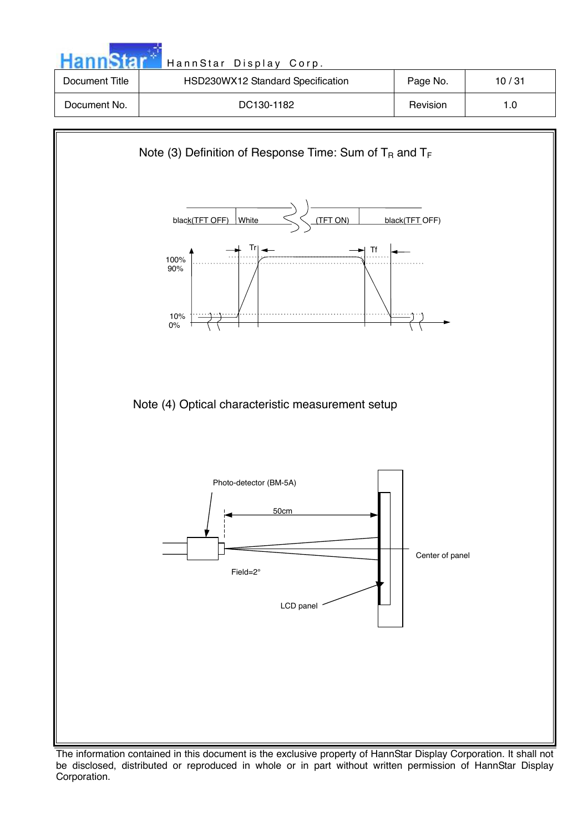|                | HannStar Display Corp.            |          |       |
|----------------|-----------------------------------|----------|-------|
| Document Title | HSD230WX12 Standard Specification | Page No. | 10/31 |
| Document No.   | DC130-1182                        | Revision | 1.0   |
|                |                                   |          |       |



The information contained in this document is the exclusive property of HannStar Display Corporation. It shall not be disclosed, distributed or reproduced in whole or in part without written permission of HannStar Display Corporation.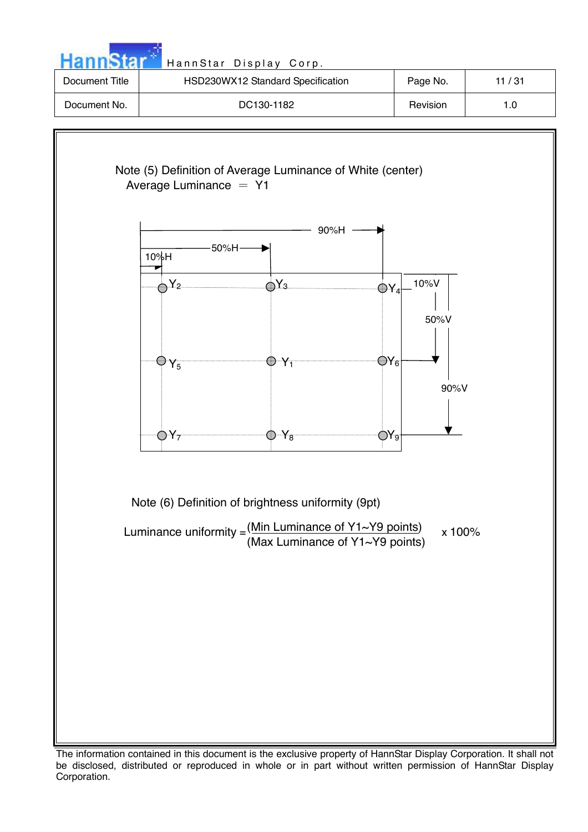

The information contained in this document is the exclusive property of HannStar Display Corporation. It shall not be disclosed, distributed or reproduced in whole or in part without written permission of HannStar Display Corporation.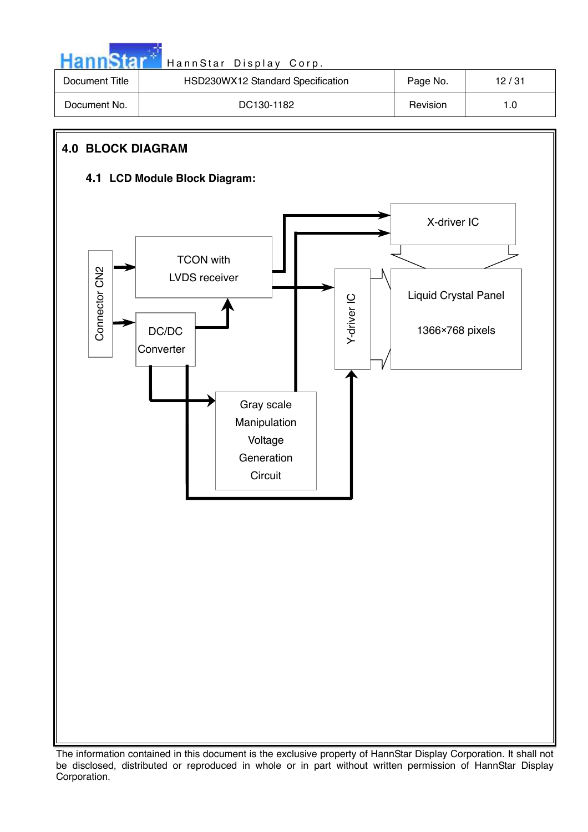| HannStar <sup>*</sup> |  |  |
|-----------------------|--|--|
|                       |  |  |
|                       |  |  |

| Document Title | HSD230WX12 Standard Specification | Page No. | 12/31 |
|----------------|-----------------------------------|----------|-------|
| Document No.   | DC130-1182                        | Revision | 1.0   |

# **4.0 BLOCK DIAGRAM**

# **4.1 LCD Module Block Diagram:**

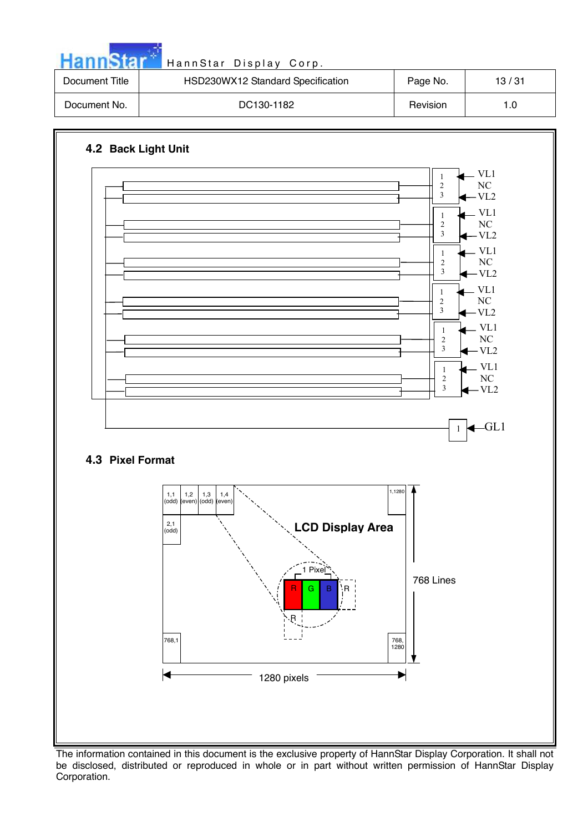| HannStar       | HannStar Display Corp.            |          |       |
|----------------|-----------------------------------|----------|-------|
| Document Title | HSD230WX12 Standard Specification | Page No. | 13/31 |
| Document No.   | DC130-1182                        | Revision | 1.0   |

and the season



The information contained in this document is the exclusive property of HannStar Display Corporation. It shall not be disclosed, distributed or reproduced in whole or in part without written permission of HannStar Display Corporation.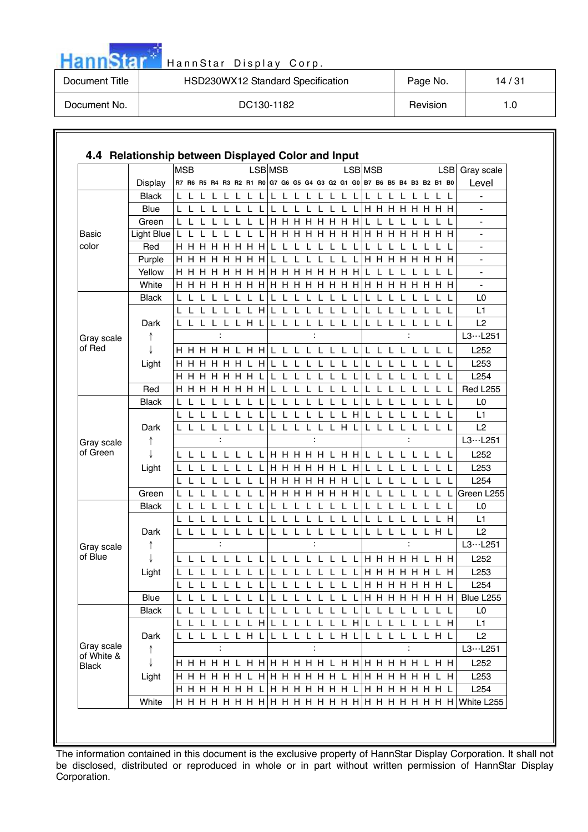| <b>HannStar</b> | HannStar Display Corp.            |          |       |
|-----------------|-----------------------------------|----------|-------|
| Document Title  | HSD230WX12 Standard Specification | Page No. | 14/31 |
| Document No.    | DC130-1182                        | Revision | 1.0   |

and the state

|                            |                | <b>MSB</b>   |              |              |                |                |                  |              |              | LSB MSB     |             |                                                                         |              |                |   |              | LSB MSB |              |              |              |                |                      |              |             |     | LSB Gray scale   |
|----------------------------|----------------|--------------|--------------|--------------|----------------|----------------|------------------|--------------|--------------|-------------|-------------|-------------------------------------------------------------------------|--------------|----------------|---|--------------|---------|--------------|--------------|--------------|----------------|----------------------|--------------|-------------|-----|------------------|
|                            | Display        |              |              |              |                |                |                  |              |              |             |             | R7 R6 R5 R4 R3 R2 R1 R0 G7 G6 G5 G4 G3 G2 G1 G0 B7 B6 B5 B4 B3 B2 B1 B0 |              |                |   |              |         |              |              |              |                |                      |              |             |     | Level            |
|                            | <b>Black</b>   |              |              |              |                | L              | L                | $\mathbf{L}$ |              | L.          | L           | L.                                                                      |              | L L L          |   | L            | L       |              | L            | L            | L              | L                    |              |             |     |                  |
|                            | <b>Blue</b>    |              |              |              |                |                |                  |              |              | L           |             |                                                                         |              |                |   |              |         |              |              |              |                | <b>HHHHHHH</b>       |              |             |     | $\blacksquare$   |
|                            | Green          |              |              |              |                |                |                  |              |              | H.          |             | <b>HHHHHH</b>                                                           |              |                |   |              |         |              |              |              |                |                      |              |             |     |                  |
| Basic                      | Light Blue   L |              |              |              |                |                |                  | $\mathbf{L}$ | $\mathbf{I}$ |             |             |                                                                         |              |                |   |              |         |              |              |              |                |                      |              |             |     |                  |
| color                      | Red            |              |              |              | <b>HHHHHHH</b> |                |                  |              |              | L           | L           | -L.                                                                     | $\mathsf{L}$ | L              | L | L            |         | L            | L            | L            |                | L                    | L            |             |     |                  |
|                            | Purple         | H H          |              | н            | н              | H              | H                |              | нн           | L           |             |                                                                         |              |                |   |              |         | H.           | H            |              | H H H          |                      | H            | <b>HH</b>   |     |                  |
|                            | Yellow         |              | нн           | H.           |                |                | <b>H H H H H</b> |              |              |             |             | <b>HHHHHHH</b>                                                          |              |                |   |              |         |              |              |              |                |                      |              |             |     |                  |
|                            | White          |              |              |              |                |                |                  |              |              |             |             | <b>HHHHHHH</b>                                                          |              |                |   |              |         |              |              |              |                | <b>H H H H H H H</b> |              |             |     |                  |
|                            | <b>Black</b>   | $\mathbf{L}$ |              |              |                |                |                  |              |              |             |             |                                                                         |              |                |   |              |         |              |              |              |                |                      |              |             | L   | L <sub>0</sub>   |
|                            |                |              |              |              |                |                |                  |              | H            |             |             |                                                                         |              |                |   |              |         |              |              |              |                |                      |              |             |     | L1               |
|                            | Dark           |              |              |              |                |                | L H L            |              |              | L.          |             |                                                                         |              |                |   |              |         | L            |              |              |                |                      |              |             |     | L2               |
| Gray scale                 |                |              |              |              | :              |                |                  |              |              |             |             |                                                                         |              | :              |   |              |         |              |              |              | $\ddot{\cdot}$ |                      |              |             |     | L3L251           |
| of Red                     |                |              |              |              |                |                |                  |              |              |             |             |                                                                         |              |                |   |              |         |              |              |              |                | L L L L L L L L      |              |             |     | L252             |
|                            | Light          |              |              |              | H H H H H L H  |                |                  |              |              | $\mathsf L$ |             | L                                                                       |              |                |   |              |         |              |              |              |                |                      |              |             |     | L253             |
|                            |                |              |              |              | H H H H H H L  |                |                  |              |              | L.          | $\mathsf L$ | L                                                                       | $\mathbf{L}$ | L              |   |              |         |              |              | $\mathbf{L}$ | $\mathbf{L}$   | L                    | $\mathbf{L}$ | L.          | -L  | L254             |
|                            | Red            | H.           |              |              | <b>HHHHHHH</b> |                |                  |              |              |             |             | IL L L L L L                                                            |              |                |   | $\mathsf L$  | L       | L            | L            | L            |                | L L L                |              | $\mathsf L$ | - L | <b>Red L255</b>  |
| Gray scale                 | <b>Black</b>   |              | L            |              |                |                | $\mathbf{I}$     | $\mathbf{I}$ | $\mathbf{L}$ |             | -L          | L                                                                       |              | L              |   |              |         |              | L            | L            | L              | L                    | - L          | L           | L   | L <sub>0</sub>   |
|                            |                |              | L            |              |                |                |                  |              |              |             |             |                                                                         |              |                |   |              | H       |              |              |              |                | L                    |              |             |     | L1               |
|                            | Dark           |              | LLL          |              |                |                | LLLLL            |              |              |             | L L.        | L.                                                                      |              | LLLHL          |   |              |         | L L          |              | L.           | L.             |                      |              | LLLL        |     | L2               |
|                            | ↑              |              |              |              |                |                |                  |              |              |             |             |                                                                         |              |                |   |              |         |              |              |              |                |                      |              |             |     | L3L251           |
| of Green                   |                |              | $\mathbf{L}$ |              |                |                |                  |              |              |             |             | <b>HHHHHLHH</b>                                                         |              |                |   |              |         | $\mathbf{L}$ | $\mathbf{L}$ | $\mathbf{L}$ |                | $\mathsf{I}$         |              | L L         |     | L252             |
|                            | Light          |              |              |              |                |                |                  |              |              |             |             | <b>H H H H H L H</b>                                                    |              |                |   |              |         | L            |              |              |                |                      |              |             |     | L253             |
|                            |                |              |              |              |                |                |                  |              |              |             |             | <b>HHHHHHL</b>                                                          |              |                |   |              |         |              | л.           |              |                |                      |              |             |     | L254             |
|                            | Green          |              |              |              |                |                |                  |              |              |             |             | <b>H H H H H H H</b>                                                    |              |                |   |              |         |              |              |              |                |                      |              |             |     | Green L255       |
|                            | <b>Black</b>   |              |              |              |                |                |                  |              |              |             |             |                                                                         |              |                |   |              |         |              |              |              |                |                      |              |             |     | L <sub>0</sub>   |
|                            |                |              |              |              |                |                |                  |              |              |             |             |                                                                         |              |                |   |              |         |              |              |              |                |                      |              | LН          |     | L1               |
|                            | Dark           |              |              |              | L L L L L L L  |                |                  |              |              |             |             | L L L L L L L L                                                         |              |                |   |              |         |              |              |              |                | LLLLLLHL             |              |             |     | L2               |
| Gray scale                 |                |              |              |              |                |                |                  |              |              |             |             |                                                                         |              |                |   |              |         |              |              |              |                |                      |              |             |     | L3L251           |
| of Blue                    |                |              |              |              |                |                |                  |              |              |             |             |                                                                         |              |                |   |              |         |              |              |              |                |                      |              |             |     | L252             |
|                            | Light          |              |              |              | LLLL           |                |                  | - L          |              |             |             | L L L L L L L L                                                         |              |                |   |              |         |              |              |              |                |                      |              | L H         |     | L253             |
|                            |                | $\mathsf{L}$ | L L          |              | L              | $\mathbf{L}$   | $\mathbf{L}$     | $\mathbf{I}$ | L            | L           | L.          | L.                                                                      | $\mathsf{L}$ | $\mathbf{1}$   |   | $\mathsf{L}$ |         |              |              |              |                | LIH H H H H H L      |              |             |     | L254             |
|                            | Blue           | L            | L            |              | L L L L L L    |                |                  |              |              |             |             | L L L L L L L L                                                         |              |                |   |              |         |              |              |              |                | <b>HHHHHHH</b>       |              |             |     | Blue L255        |
|                            | <b>Black</b>   |              |              |              |                |                |                  |              |              |             |             |                                                                         |              |                |   |              |         |              |              |              |                | L                    |              | L           |     | L <sub>0</sub>   |
|                            |                |              |              |              | LLLLLLH        |                |                  |              |              |             |             | LLLLLLLH                                                                |              |                |   |              |         |              |              |              |                | LLLLLLLH             |              |             |     | L1               |
|                            | Dark           |              | L L          | $\mathbf{L}$ | L              |                | LLHL             |              |              |             | L L         | L                                                                       | L            |                |   | LLHL         |         | L L          |              | L            |                | LLLHL                |              |             |     | L2               |
| Gray scale                 | $\uparrow$     |              |              |              |                | $\ddot{\cdot}$ |                  |              |              |             |             |                                                                         |              | $\ddot{\cdot}$ |   |              |         |              |              |              |                | $\ddot{\cdot}$       |              |             |     | L3L251           |
| of White &<br><b>Black</b> |                |              |              |              |                |                |                  |              |              |             |             |                                                                         |              |                |   |              |         |              |              |              |                |                      |              |             |     | L252             |
|                            | Light          |              |              |              |                |                |                  |              |              |             |             |                                                                         |              |                |   |              |         |              |              |              |                |                      |              |             |     | L253             |
|                            |                |              |              |              |                |                |                  |              |              |             |             |                                                                         |              |                |   |              |         |              |              |              |                | H H H H H H L        |              |             |     | L <sub>254</sub> |
|                            | White          |              |              |              |                |                |                  |              |              |             |             |                                                                         |              |                |   |              |         |              |              |              |                |                      |              |             |     | White L255       |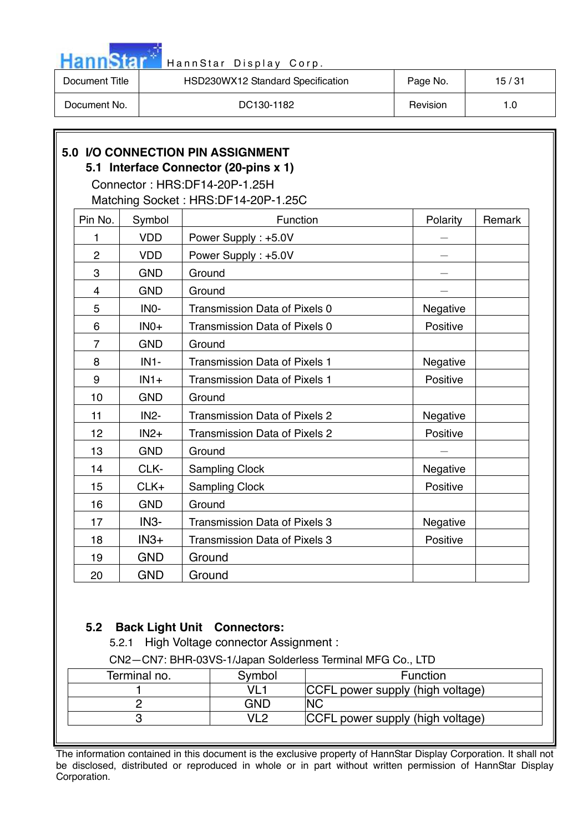

| Document Title | HSD230WX12 Standard Specification | Page No. | 15 / 31 |
|----------------|-----------------------------------|----------|---------|
| Document No.   | DC130-1182                        | Revision | 1.0     |

# **5.0 I/O CONNECTION PIN ASSIGNMENT**

# **5.1 Interface Connector (20-pins x 1)**

Connector : HRS:DF14-20P-1.25H

Matching Socket : HRS:DF14-20P-1.25C

| Pin No.        | Symbol            | Function                             | Polarity | Remark |
|----------------|-------------------|--------------------------------------|----------|--------|
| 1              | <b>VDD</b>        | Power Supply: +5.0V                  |          |        |
| $\overline{2}$ | <b>VDD</b>        | Power Supply: +5.0V                  |          |        |
| 3              | <b>GND</b>        | Ground                               |          |        |
| 4              | <b>GND</b>        | Ground                               |          |        |
| 5              | INO-              | Transmission Data of Pixels 0        | Negative |        |
| 6              | $INO+$            | Transmission Data of Pixels 0        | Positive |        |
| $\overline{7}$ | <b>GND</b>        | Ground                               |          |        |
| 8              | $IN1-$            | <b>Transmission Data of Pixels 1</b> | Negative |        |
| 9              | $IN1+$            | <b>Transmission Data of Pixels 1</b> | Positive |        |
| 10             | <b>GND</b>        | Ground                               |          |        |
| 11             | IN <sub>2</sub> - | <b>Transmission Data of Pixels 2</b> | Negative |        |
| 12             | $IN2+$            | <b>Transmission Data of Pixels 2</b> | Positive |        |
| 13             | <b>GND</b>        | Ground                               |          |        |
| 14             | CLK-              | <b>Sampling Clock</b>                | Negative |        |
| 15             | CLK+              | <b>Sampling Clock</b>                | Positive |        |
| 16             | <b>GND</b>        | Ground                               |          |        |
| 17             | IN <sub>3</sub> - | <b>Transmission Data of Pixels 3</b> | Negative |        |
| 18             | $IN3+$            | <b>Transmission Data of Pixels 3</b> | Positive |        |
| 19             | <b>GND</b>        | Ground                               |          |        |
| 20             | <b>GND</b>        | Ground                               |          |        |

# **5.2 Back Light Unit Connectors:**

5.2.1 High Voltage connector Assignment :

CN2—CN7: BHR-03VS-1/Japan Solderless Terminal MFG Co., LTD

| Terminal no. | Symbol     | Function                         |
|--------------|------------|----------------------------------|
|              | VL1        | CCFL power supply (high voltage) |
|              | <b>GND</b> | <b>NC</b>                        |
|              | VI 2       | CCFL power supply (high voltage) |
|              |            |                                  |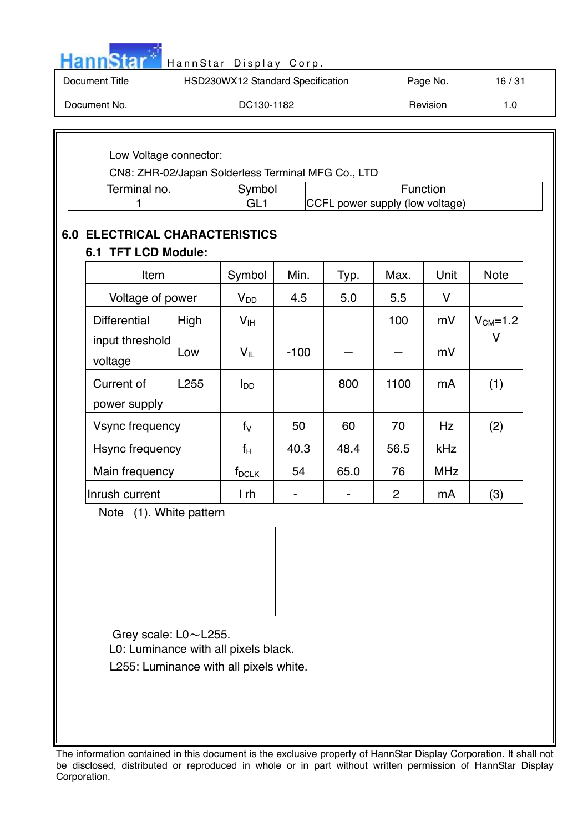|  |  | HannStar* |  |
|--|--|-----------|--|
|  |  |           |  |
|  |  |           |  |

| Document Title | HSD230WX12 Standard Specification | Page No. | 16/31 |
|----------------|-----------------------------------|----------|-------|
| Document No.   | DC130-1182                        | Revision | 1.0   |

## Low Voltage connector:

CN8: ZHR-02/Japan Solderless Terminal MFG Co., LTD

| armınal.<br>ິ ໆ0.<br>ы<br>$\cdots$ $\cdots$ | <b>CONTRACTOR</b><br>hn | מחזי                             |
|---------------------------------------------|-------------------------|----------------------------------|
|                                             | -<br>ᅴ                  | .Е<br>power supply (low voltage) |

# **6.0 ELECTRICAL CHARACTERISTICS**

# **6.1 TFT LCD Module:**

| Item                       |                  | Symbol          | Min.   | Typ. | Max. | Unit       | <b>Note</b>         |
|----------------------------|------------------|-----------------|--------|------|------|------------|---------------------|
| Voltage of power           |                  | $V_{DD}$        | 4.5    | 5.0  | 5.5  | V          |                     |
| <b>Differential</b>        | High             | V <sub>IH</sub> |        |      | 100  | mV         | $V_{CM} = 1.2$<br>۷ |
| input threshold<br>voltage | Low              | $V_{IL}$        | $-100$ |      |      | mV         |                     |
| Current of                 | L <sub>255</sub> | l <sub>DD</sub> |        | 800  | 1100 | mA         | (1)                 |
| power supply               |                  |                 |        |      |      |            |                     |
| Vsync frequency            |                  | $f_V$           | 50     | 60   | 70   | Hz         | (2)                 |
| Hsync frequency            |                  | fн              | 40.3   | 48.4 | 56.5 | kHz        |                     |
| Main frequency             |                  | $f_{DCLK}$      | 54     | 65.0 | 76   | <b>MHz</b> |                     |
| Inrush current             |                  | I rh            |        |      | 2    | mA         | (3)                 |

Note(1). White pattern



Grey scale: L0~L255.

L0: Luminance with all pixels black.

L255: Luminance with all pixels white.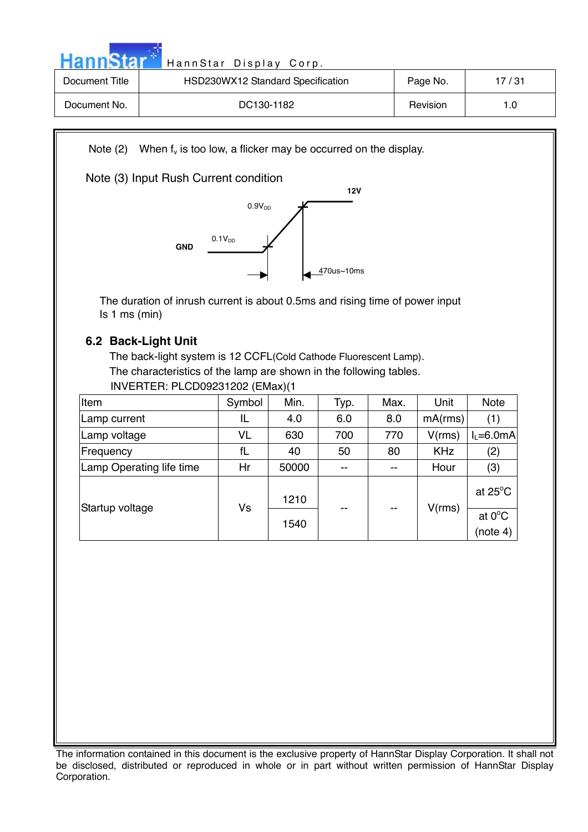Hann Star<sup>t H</sup> HannStar Display Corp.

| Document Title | HSD230WX12 Standard Specification | Page No. | 17/31 |
|----------------|-----------------------------------|----------|-------|
| Document No.   | DC130-1182                        | Revision | 1.0   |

Note  $(2)$  When  $f_v$  is too low, a flicker may be occurred on the display.

# Note (3) Input Rush Current condition



The duration of inrush current is about 0.5ms and rising time of power input Is 1 ms (min)

# **6.2 Back-Light Unit**

The back-light system is 12 CCFL(Cold Cathode Fluorescent Lamp). The characteristics of the lamp are shown in the following tables.

INVERTER: PLCD09231202 (EMax)(1

| Item                     | Symbol | Min.  | Typ. | Max.  | Unit       | <b>Note</b>       |
|--------------------------|--------|-------|------|-------|------------|-------------------|
| Lamp current             | IL     | 4.0   | 6.0  | 8.0   | mA(rms)    | (1)               |
| Lamp voltage             | VL     | 630   | 700  | 770   | V(rms)     | $I_1 = 6.0mA$     |
| Frequency                | fL     | 40    | 50   | 80    | <b>KHz</b> | (2)               |
| Lamp Operating life time | Hr     | 50000 | --   | --    | Hour       | (3)               |
| Startup voltage          | Vs     | 1210  | --   | $- -$ | V(rms)     | at $25^{\circ}$ C |
|                          |        | 1540  |      |       |            | at $0^{\circ}$ C  |
|                          |        |       |      |       |            | (note 4)          |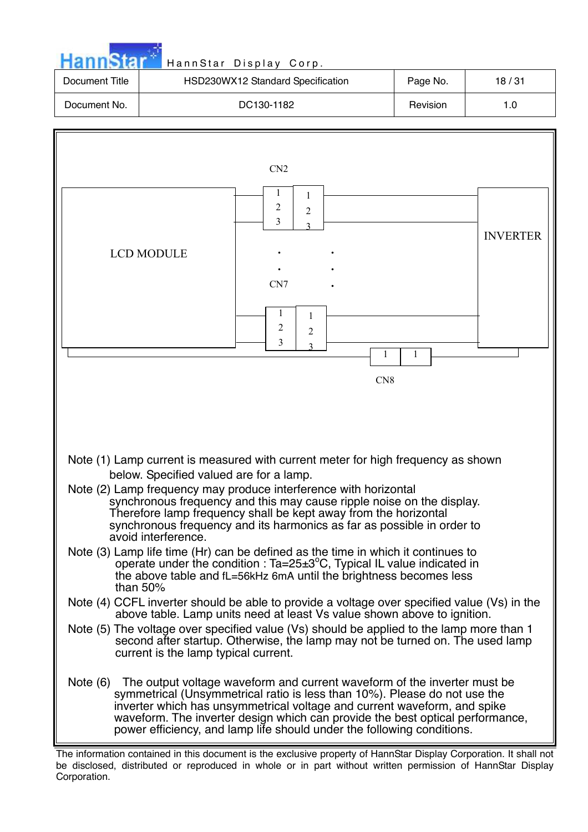|                | HannStar Display Corp.            |          |       |
|----------------|-----------------------------------|----------|-------|
| Document Title | HSD230WX12 Standard Specification | Page No. | 18/31 |
| Document No.   | DC130-1182                        | Revision | 1.0   |



The information contained in this document is the exclusive property of HannStar Display Corporation. It shall not be disclosed, distributed or reproduced in whole or in part without written permission of HannStar Display Corporation.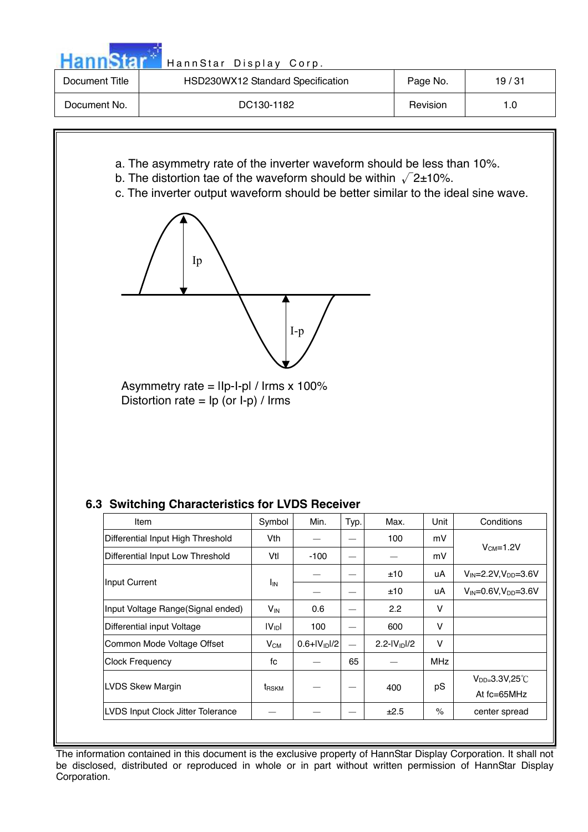| HannStar <sup>*</sup> |  |  |  |
|-----------------------|--|--|--|
|                       |  |  |  |
|                       |  |  |  |

| Document Title | HSD230WX12 Standard Specification | Page No. | 19/31 |
|----------------|-----------------------------------|----------|-------|
| Document No.   | DC130-1182                        | Revision |       |

- a. The asymmetry rate of the inverter waveform should be less than 10%.
- b. The distortion tae of the waveform should be within  $\sqrt{2}$ ±10%.
- c. The inverter output waveform should be better similar to the ideal sine wave.



Asymmetry rate =  $\text{IIp-I-pI}$  / Irms x 100% Distortion rate =  $lp$  (or  $l-p$ ) /  $l$ rms

# **6.3 Switching Characteristics for LVDS Receiver**

| Item                               | Symbol                | Min.             | Typ.     | Max.              | Unit       | Conditions                                     |
|------------------------------------|-----------------------|------------------|----------|-------------------|------------|------------------------------------------------|
| Differential Input High Threshold  | Vth                   |                  |          | 100               | mV         |                                                |
| Differential Input Low Threshold   | Vtl                   | $-100$           |          |                   | mV         | $VCM=1.2V$                                     |
|                                    |                       |                  |          | ±10               | uA         | $V_{\text{IN}} = 2.2 V, V_{\text{DD}} = 3.6 V$ |
| Input Current                      | <b>I<sub>IN</sub></b> |                  |          | ±10               | uA         | $V_{\text{IN}} = 0.6 V, V_{\text{DD}} = 3.6 V$ |
| Input Voltage Range (Signal ended) | $V_{\text{IN}}$       | 0.6              |          | 2.2               | v          |                                                |
| Differential input Voltage         | IV <sub>ID</sub> I    | 100              |          | 600               | v          |                                                |
| Common Mode Voltage Offset         | $V_{CM}$              | $0.6 + V_{1D}/2$ | $\equiv$ | 2.2- $ V_{1D} /2$ | v          |                                                |
| <b>Clock Frequency</b>             | fc                    |                  | 65       |                   | <b>MHz</b> |                                                |
| <b>LVDS Skew Margin</b>            | t <sub>RSKM</sub>     |                  |          | 400               | pS         | $V_{DD=}3.3V,25^{\circ}$ C<br>At fc=65MHz      |
| LVDS Input Clock Jitter Tolerance  |                       |                  |          | ±2.5              | $\%$       | center spread                                  |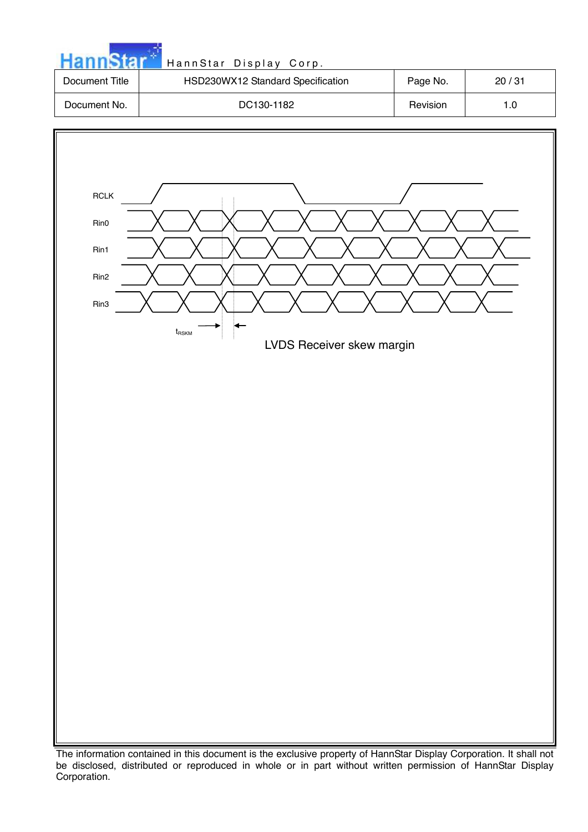

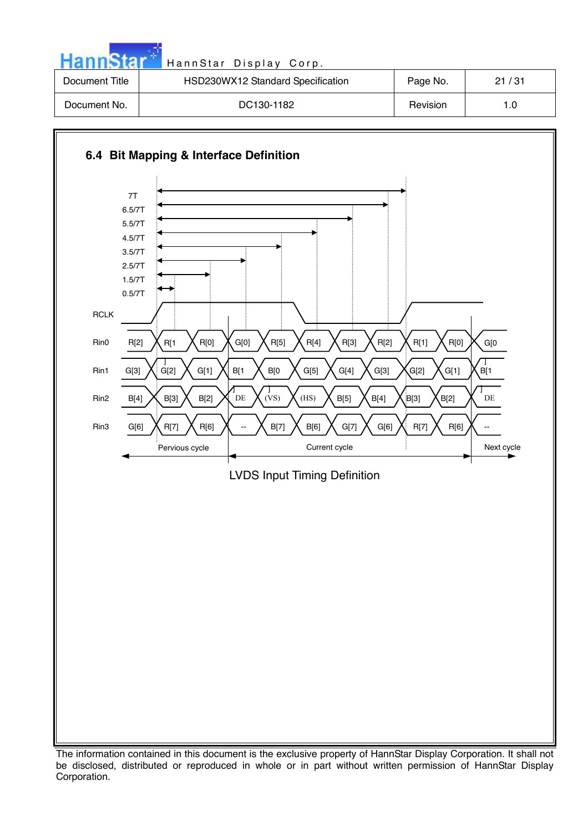| HannStar       | HannStar Display Corp.            |          |       |
|----------------|-----------------------------------|----------|-------|
| Document Title | HSD230WX12 Standard Specification | Page No. | 21/31 |
| Document No.   | DC130-1182                        | Revision | 1.0   |

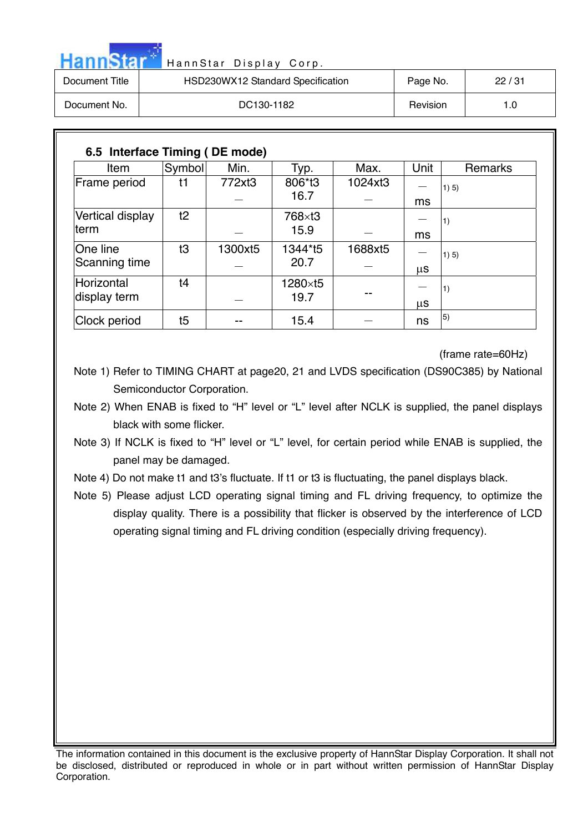| <b>HannStar</b> | HannStar Display Corp.            |          |       |
|-----------------|-----------------------------------|----------|-------|
| Document Title  | HSD230WX12 Standard Specification | Page No. | 22/31 |
| Document No.    | DC130-1182                        | Revision | 1.0   |

| Item             | Symbol | Min.    | Typ.    | Max.    | Unit | <b>Remarks</b> |
|------------------|--------|---------|---------|---------|------|----------------|
| Frame period     | t1     | 772xt3  | 806*t3  | 1024xt3 |      | 1) 5)          |
|                  |        |         | 16.7    |         | ms   |                |
| Vertical display | t2     |         | 768×t3  |         |      | 11)            |
| lterm            |        |         | 15.9    |         | ms   |                |
| One line         | t3     | 1300xt5 | 1344*t5 | 1688xt5 |      | 1) 5)          |
| Scanning time    |        |         | 20.7    |         | μS   |                |
| Horizontal       | ţ4     |         | 1280×t5 |         |      | 1)             |
| display term     |        |         | 19.7    |         | μS   |                |
| Clock period     | t5     |         | 15.4    |         | ns   | 5)             |

(frame rate=60Hz)

Note 1) Refer to TIMING CHART at page20, 21 and LVDS specification (DS90C385) by National Semiconductor Corporation.

Note 2) When ENAB is fixed to "H" level or "L" level after NCLK is supplied, the panel displays black with some flicker.

Note 3) If NCLK is fixed to "H" level or "L" level, for certain period while ENAB is supplied, the panel may be damaged.

Note 4) Do not make t1 and t3's fluctuate. If t1 or t3 is fluctuating, the panel displays black.

Note 5) Please adjust LCD operating signal timing and FL driving frequency, to optimize the display quality. There is a possibility that flicker is observed by the interference of LCD operating signal timing and FL driving condition (especially driving frequency).

The information contained in this document is the exclusive property of HannStar Display Corporation. It shall not be disclosed, distributed or reproduced in whole or in part without written permission of HannStar Display Corporation.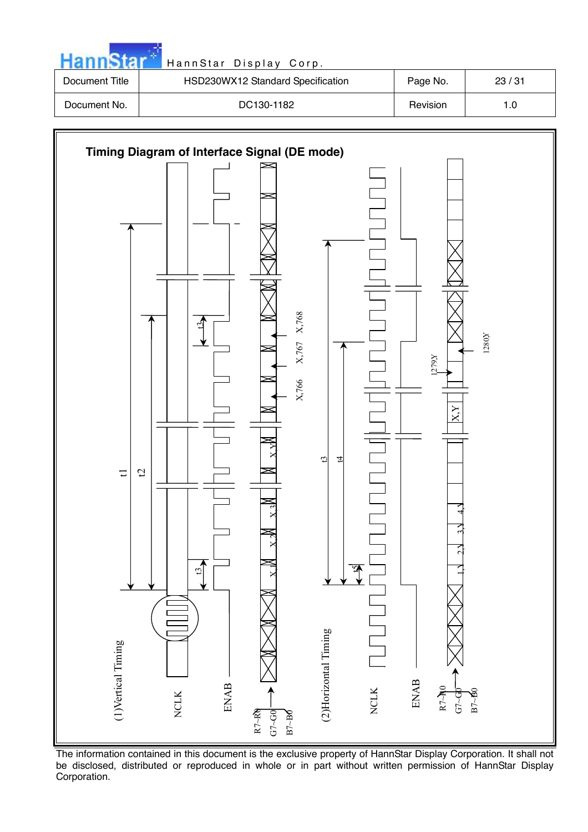

The information contained in this document is the exclusive property of HannStar Display Corporation. It shall not be disclosed, distributed or reproduced in whole or in part without written permission of HannStar Display Corporation.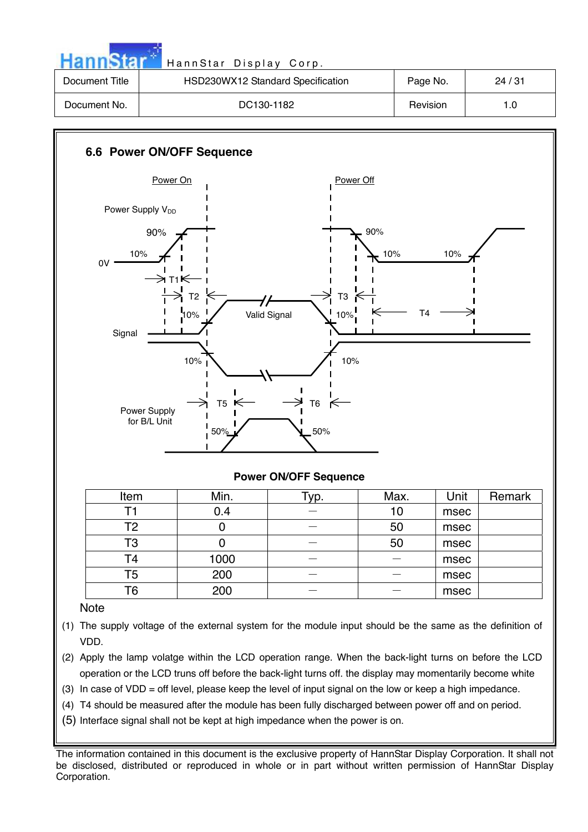|                | HannStar Display Corp.            |          |       |
|----------------|-----------------------------------|----------|-------|
| Document Title | HSD230WX12 Standard Specification | Page No. | 24/31 |
| Document No.   | DC130-1182                        | Revision | 1.0   |



#### **Power ON/OFF Sequence**

| Item | Min. | $\tau_{\text{VP}}$ . | Max. | Unit | Remark |
|------|------|----------------------|------|------|--------|
|      | 0.4  |                      | 10   | msec |        |
| Т2   |      |                      | 50   | msec |        |
| T3   |      |                      | 50   | msec |        |
| Τ4   | 1000 |                      |      | msec |        |
| T5   | 200  |                      |      | msec |        |
| Т6   | 200  |                      |      | msec |        |

#### **Note**

- (1) The supply voltage of the external system for the module input should be the same as the definition of VDD.
- (2) Apply the lamp volatge within the LCD operation range. When the back-light turns on before the LCD operation or the LCD truns off before the back-light turns off. the display may momentarily become white
- (3) In case of VDD = off level, please keep the level of input signal on the low or keep a high impedance.
- (4) T4 should be measured after the module has been fully discharged between power off and on period.
- (5) Interface signal shall not be kept at high impedance when the power is on.

The information contained in this document is the exclusive property of HannStar Display Corporation. It shall not be disclosed, distributed or reproduced in whole or in part without written permission of HannStar Display Corporation.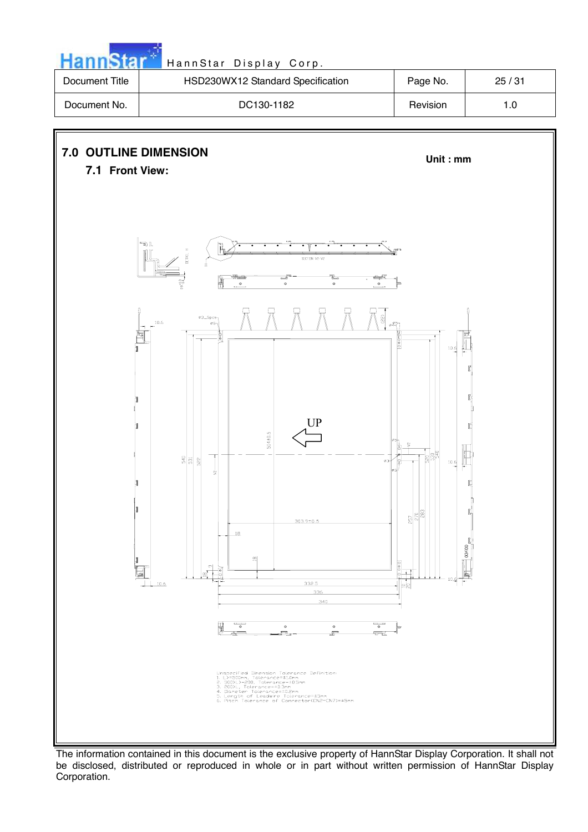

The information contained in this document is the exclusive property of HannStar Display Corporation. It shall not be disclosed, distributed or reproduced in whole or in part without written permission of HannStar Display Corporation.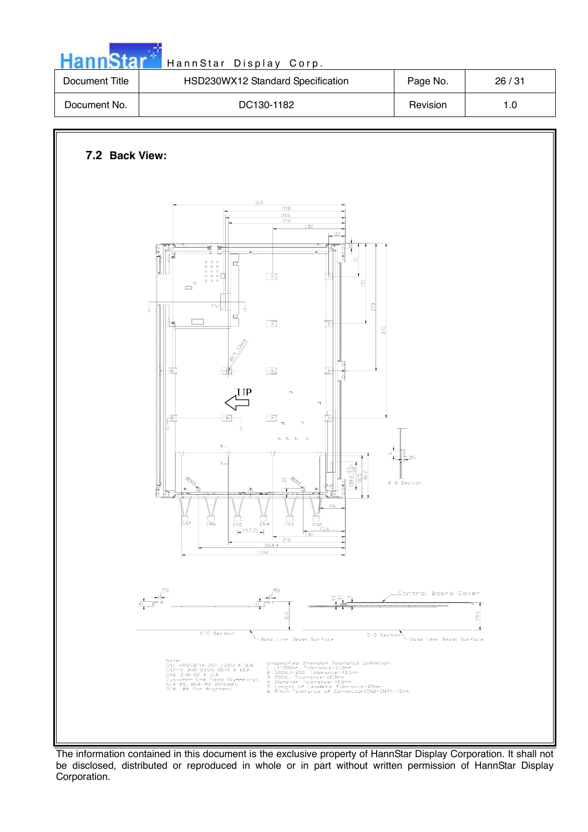| Document Title | HSD230WX12 Standard Specification                                                                                                                                                                                                                                                                                                                                                                                                                                                                                                                                                                                                                                                                                                                                     | Page No.                                   | 26/31 |
|----------------|-----------------------------------------------------------------------------------------------------------------------------------------------------------------------------------------------------------------------------------------------------------------------------------------------------------------------------------------------------------------------------------------------------------------------------------------------------------------------------------------------------------------------------------------------------------------------------------------------------------------------------------------------------------------------------------------------------------------------------------------------------------------------|--------------------------------------------|-------|
| Document No.   | DC130-1182                                                                                                                                                                                                                                                                                                                                                                                                                                                                                                                                                                                                                                                                                                                                                            | Revision                                   | $1.0$ |
| 7.2 Back View: | 310<br>$\overline{218}$<br>$\frac{215}{210}$<br>$\overline{130}$<br>30 <sub>1</sub><br>動<br>عا<br>$\bullet$ 0 0<br>$\approx$<br>$\circ$<br>$\circ$ $\circ$<br>α<br>$\circ \circ \circ$<br>$\circ$ $\circ$ $\circ$<br>直<br>$\frac{1}{2}$<br>의<br>$\Box^{^{\circ}}$<br>CN1<br>270<br>$\frac{1}{p}$<br>Ď<br>$\mathbf \alpha$<br>$\sqrt{2}$<br>$\boxdot$<br><b>I</b> IP<br>$\daleth$<br>F<br>$\boxed{\circ}$<br>匜<br>恒<br>lc<br>Ċ<br>$\label{eq:2.1} \mathbf{L}=\mathbf{L}=\mathbf{L}=-\mathbf{L}$<br>$\, {\bf B}$ –<br>$B -$<br>$rac{(59.2 + 0.0)}{90.5}$<br>ಸ<br>$\stackrel{\bullet}{=}$<br>ြီ<br>₽<br>$n = 1$<br>╦<br>15 M M M<br>$\overline{\phantom{a}}$<br>ਧਰ<br>46<br>H<br>Enz<br>$\frac{14}{100}$<br>$\frac{1}{2}$<br>$\frac{14}{15}$<br>$CNP$<br>$CNP$<br>$75.6$ | 370<br>$\frac{5}{4}$<br>L95<br>B-B Section |       |

الأولى المستند

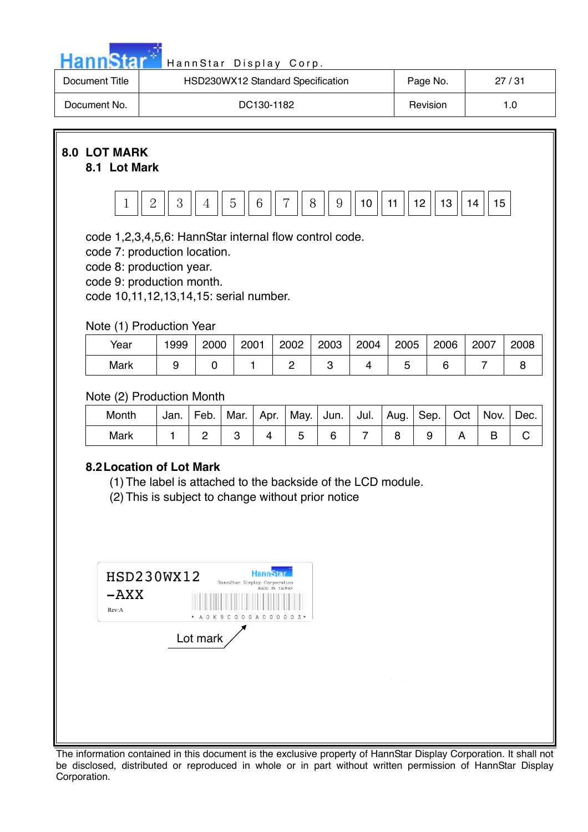

| Document Title | HSD230WX12 Standard Specification | Page No. | 27/31 |
|----------------|-----------------------------------|----------|-------|
| Document No.   | DC130-1182                        | Revision | 1.0   |

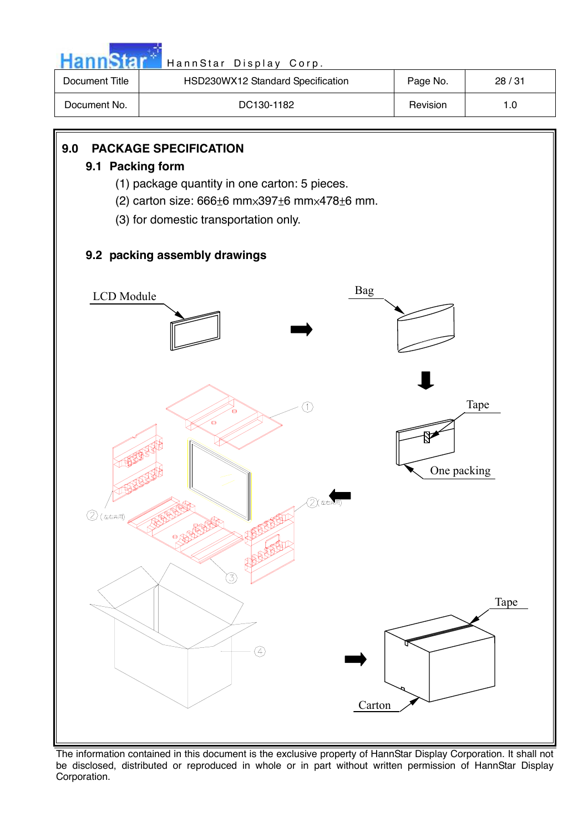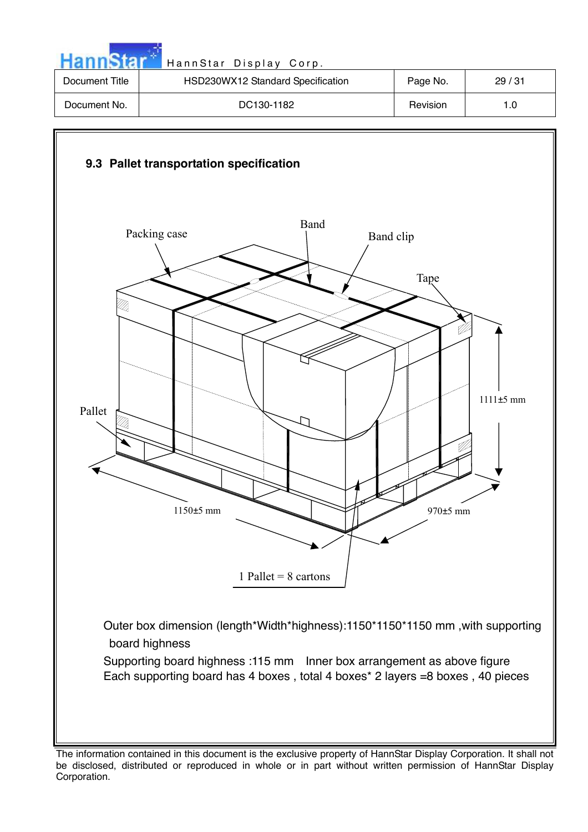| <b>HannStar</b> | HannStar Display Corp.            |          |       |
|-----------------|-----------------------------------|----------|-------|
| Document Title  | HSD230WX12 Standard Specification | Page No. | 29/31 |
| Document No.    | DC130-1182                        | Revision | 1.0   |



The information contained in this document is the exclusive property of HannStar Display Corporation. It shall not be disclosed, distributed or reproduced in whole or in part without written permission of HannStar Display Corporation.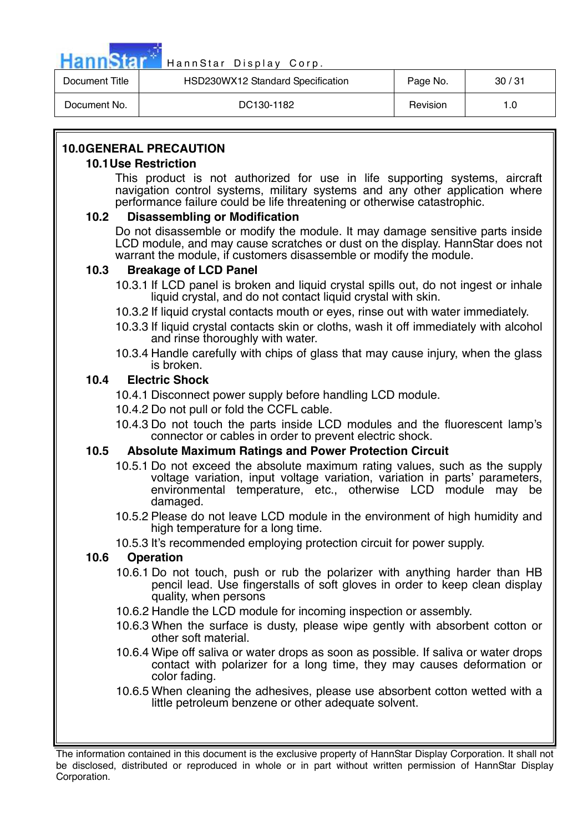

| Document Title | HSD230WX12 Standard Specification | Page No. | 30/31 |
|----------------|-----------------------------------|----------|-------|
| Document No.   | DC130-1182                        | Revision | 1.0   |

# **10.0 GENERAL PRECAUTION**

## **10.1 Use Restriction**

This product is not authorized for use in life supporting systems, aircraft navigation control systems, military systems and any other application where performance failure could be life threatening or otherwise catastrophic.

# **10.2 Disassembling or Modification**

Do not disassemble or modify the module. It may damage sensitive parts inside LCD module, and may cause scratches or dust on the display. HannStar does not warrant the module, if customers disassemble or modify the module.

## **10.3 Breakage of LCD Panel**

- 10.3.1 If LCD panel is broken and liquid crystal spills out, do not ingest or inhale liquid crystal, and do not contact liquid crystal with skin.
- 10.3.2 If liquid crystal contacts mouth or eyes, rinse out with water immediately.
- 10.3.3 If liquid crystal contacts skin or cloths, wash it off immediately with alcohol and rinse thoroughly with water.
- 10.3.4 Handle carefully with chips of glass that may cause injury, when the glass is broken.

## **10.4 Electric Shock**

- 10.4.1 Disconnect power supply before handling LCD module.
- 10.4.2 Do not pull or fold the CCFL cable.
- 10.4.3 Do not touch the parts inside LCD modules and the fluorescent lamp's connector or cables in order to prevent electric shock.

# **10.5 Absolute Maximum Ratings and Power Protection Circuit**

- 10.5.1 Do not exceed the absolute maximum rating values, such as the supply voltage variation, input voltage variation, variation in parts' parameters, environmental temperature, etc., otherwise LCD module may be damaged.
- 10.5.2 Please do not leave LCD module in the environment of high humidity and high temperature for a long time.
- 10.5.3 It's recommended employing protection circuit for power supply.

# **10.6 Operation**

- 10.6.1 Do not touch, push or rub the polarizer with anything harder than HB pencil lead. Use fingerstalls of soft gloves in order to keep clean display quality, when persons
- 10.6.2 Handle the LCD module for incoming inspection or assembly.
- 10.6.3 When the surface is dusty, please wipe gently with absorbent cotton or other soft material.
- 10.6.4 Wipe off saliva or water drops as soon as possible. If saliva or water drops contact with polarizer for a long time, they may causes deformation or color fading.
- 10.6.5 When cleaning the adhesives, please use absorbent cotton wetted with a little petroleum benzene or other adequate solvent.

The information contained in this document is the exclusive property of HannStar Display Corporation. It shall not be disclosed, distributed or reproduced in whole or in part without written permission of HannStar Display Corporation.